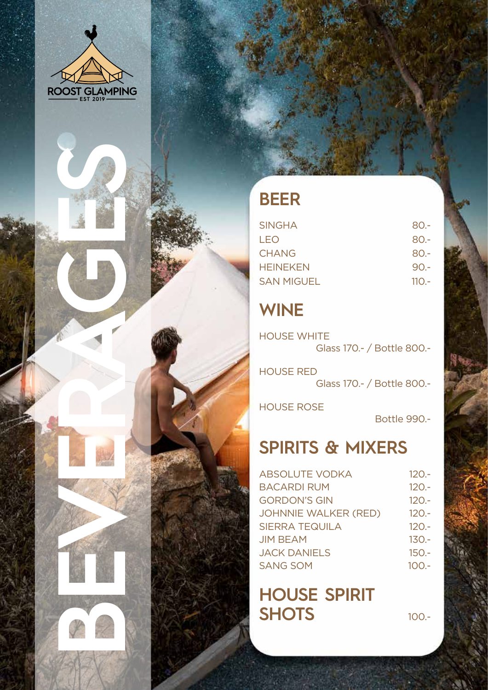

**BEVERAGES** 

## **Beer**

| <b>SINGHA</b>     | 80.-    |
|-------------------|---------|
| LEO               | $80 -$  |
| <b>CHANG</b>      | $80 -$  |
| <b>HEINEKEN</b>   | $90 -$  |
| <b>SAN MIGUEL</b> | $110 -$ |

## **Wine**

**HOUSE WHITE** Glass 170.- / Bottle 800.-

**HOUS** <sup>e</sup> RedGlass 170.- / Bottle 800.-

HOUSE ROSE

Bottle 990.-

## **Spirit s & Mixer s**

| <b>ABSOLUTE VODKA</b>       | $120 -$ |
|-----------------------------|---------|
| <b>BACARDI RUM</b>          | $120 -$ |
| <b>GORDON'S GIN</b>         | $120 -$ |
| <b>JOHNNIE WALKER (RED)</b> | $120 -$ |
| <b>SIERRA TEQUILA</b>       | $120 -$ |
| <b>JIM BEAM</b>             | $130 -$ |
| <b>JACK DANIELS</b>         | $150 -$ |
| <b>SANG SOM</b>             | $100 -$ |
|                             |         |

**Hou se Spirit SHOTS** 100.-